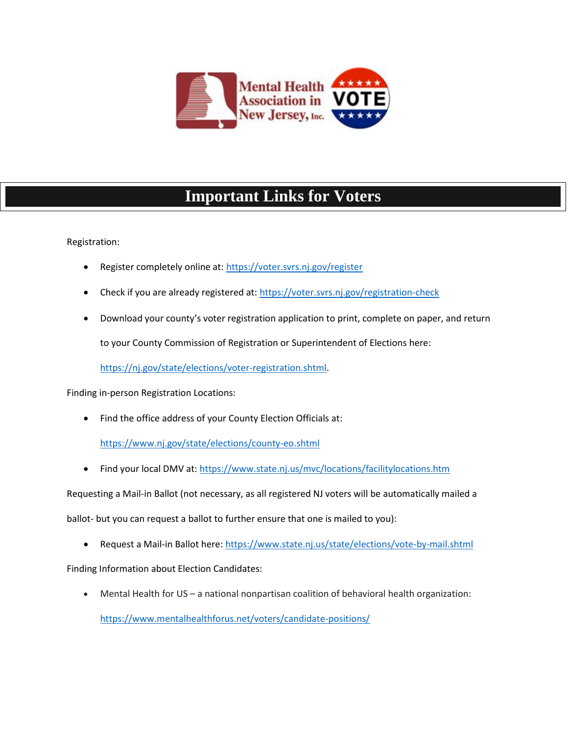

## **Important Links for Voters**

Registration:

- Register completely online at:<https://voter.svrs.nj.gov/register>
- Check if you are already registered at:<https://voter.svrs.nj.gov/registration-check>
- Download your county's voter registration application to print, complete on paper, and return

to your County Commission of Registration or Superintendent of Elections here:

[https://nj.gov/state/elections/voter-registration.shtml.](https://nj.gov/state/elections/voter-registration.shtml)

Finding in-person Registration Locations:

Find the office address of your County Election Officials at:

<https://www.nj.gov/state/elections/county-eo.shtml>

• Find your local DMV at:<https://www.state.nj.us/mvc/locations/facilitylocations.htm>

Requesting a Mail-in Ballot (not necessary, as all registered NJ voters will be automatically mailed a

ballot- but you can request a ballot to further ensure that one is mailed to you):

Request a Mail-in Ballot here:<https://www.state.nj.us/state/elections/vote-by-mail.shtml>

Finding Information about Election Candidates:

• Mental Health for US – a national nonpartisan coalition of behavioral health organization:

<https://www.mentalhealthforus.net/voters/candidate-positions/>